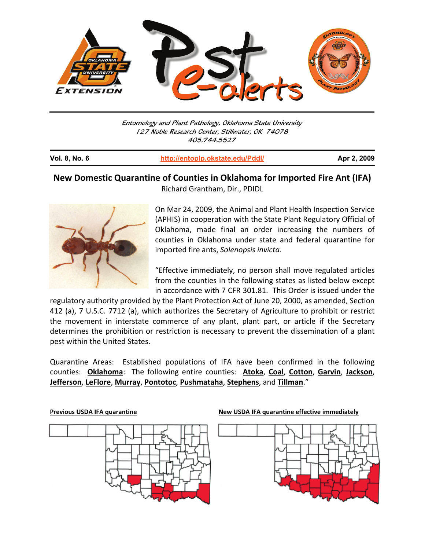

Entomology and Plant Pathology, Oklahoma State University 127 Noble Research Center, Stillwater, OK 74078 405.744.5527

| <b>Vol. 8, No. 6</b> | http://entoplp.okstate.edu/Pddl/ | Apr 2, 2009 |
|----------------------|----------------------------------|-------------|
|                      |                                  |             |

## **New Domestic Quarantine of Counties in Oklahoma for Imported Fire Ant (IFA)**  Richard Grantham, Dir., PDIDL



On Mar 24, 2009, the Animal and Plant Health Inspection Service (APHIS) in cooperation with the State Plant Regulatory Official of Oklahoma, made final an order increasing the numbers of counties in Oklahoma under state and federal quarantine for imported fire ants, *Solenopsis invicta*.

"Effective immediately, no person shall move regulated articles from the counties in the following states as listed below except in accordance with 7 CFR 301.81. This Order is issued under the

regulatory authority provided by the Plant Protection Act of June 20, 2000, as amended, Section 412 (a), 7 U.S.C. 7712 (a), which authorizes the Secretary of Agriculture to prohibit or restrict the movement in interstate commerce of any plant, plant part, or article if the Secretary determines the prohibition or restriction is necessary to prevent the dissemination of a plant pest within the United States.

Quarantine Areas: Established populations of IFA have been confirmed in the following counties: **Oklahoma**: The following entire counties: **Atoka**, **Coal**, **Cotton**, **Garvin**, **Jackson**, **Jefferson**, **LeFlore**, **Murray**, **Pontotoc**, **Pushmataha**, **Stephens**, and **Tillman**."



**Previous USDA IFA quarantine New USDA IFA quarantine effective immediately**

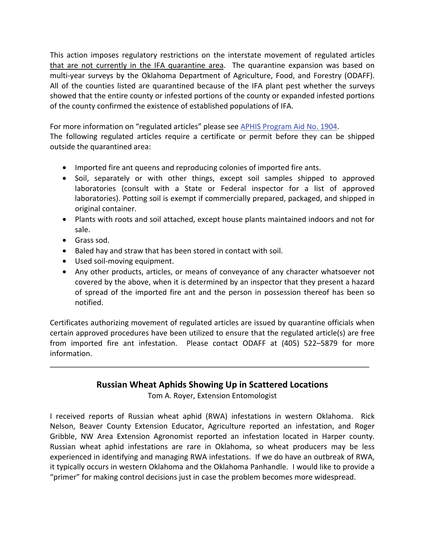This action imposes regulatory restrictions on the interstate movement of regulated articles that are not currently in the IFA quarantine area. The quarantine expansion was based on multi-year surveys by the Oklahoma Department of Agriculture, Food, and Forestry (ODAFF). All of the counties listed are quarantined because of the IFA plant pest whether the surveys showed that the entire county or infested portions of the county or expanded infested portions of the county confirmed the existence of established populations of IFA.

For more information on "regulated articles" please see APHIS Program Aid No. 1904. The following regulated articles require a certificate or permit before they can be shipped outside the quarantined area:

- Imported fire ant queens and reproducing colonies of imported fire ants.
- Soil, separately or with other things, except soil samples shipped to approved laboratories (consult with a State or Federal inspector for a list of approved laboratories). Potting soil is exempt if commercially prepared, packaged, and shipped in original container.
- Plants with roots and soil attached, except house plants maintained indoors and not for sale.
- Grass sod.
- Baled hay and straw that has been stored in contact with soil.
- Used soil-moving equipment.
- Any other products, articles, or means of conveyance of any character whatsoever not covered by the above, when it is determined by an inspector that they present a hazard of spread of the imported fire ant and the person in possession thereof has been so notified.

Certificates authorizing movement of regulated articles are issued by quarantine officials when certain approved procedures have been utilized to ensure that the regulated article(s) are free from imported fire ant infestation. Please contact ODAFF at (405) 522–5879 for more information.

## **Russian Wheat Aphids Showing Up in Scattered Locations**

\_\_\_\_\_\_\_\_\_\_\_\_\_\_\_\_\_\_\_\_\_\_\_\_\_\_\_\_\_\_\_\_\_\_\_\_\_\_\_\_\_\_\_\_\_\_\_\_\_\_\_\_\_\_\_\_\_\_\_\_\_\_\_\_\_\_\_\_\_\_\_\_\_\_\_\_\_

Tom A. Royer, Extension Entomologist

I received reports of Russian wheat aphid (RWA) infestations in western Oklahoma. Rick Nelson, Beaver County Extension Educator, Agriculture reported an infestation, and Roger Gribble, NW Area Extension Agronomist reported an infestation located in Harper county. Russian wheat aphid infestations are rare in Oklahoma, so wheat producers may be less experienced in identifying and managing RWA infestations. If we do have an outbreak of RWA, it typically occurs in western Oklahoma and the Oklahoma Panhandle. I would like to provide a "primer" for making control decisions just in case the problem becomes more widespread.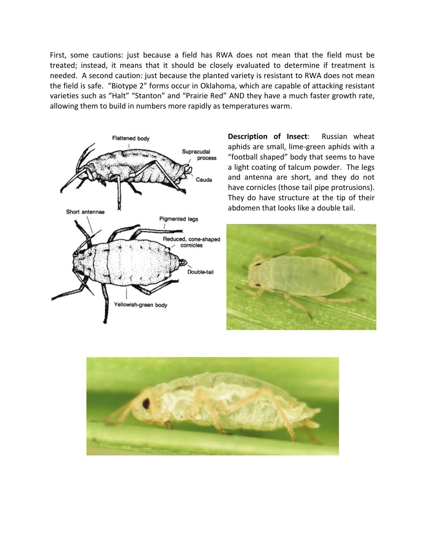First, some cautions: just because a field has RWA does not mean that the field must be treated; instead, it means that it should be closely evaluated to determine if treatment is needed. A second caution: just because the planted variety is resistant to RWA does not mean the field is safe. "Biotype 2" forms occur in Oklahoma, which are capable of attacking resistant varieties such as "Halt" "Stanton" and "Prairie Red" AND they have a much faster growth rate, allowing them to build in numbers more rapidly as temperatures warm.



**Description of Insect**: Russian wheat aphids are small, lime-green aphids with a "football shaped" body that seems to have a light coating of talcum powder. The legs and antenna are short, and they do not have cornicles (those tail pipe protrusions). They do have structure at the tip of their abdomen that looks like a double tail.



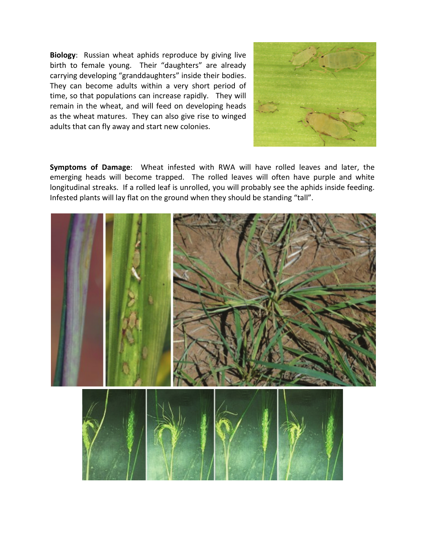**Biology**: Russian wheat aphids reproduce by giving live birth to female young. Their "daughters" are already carrying developing "granddaughters" inside their bodies. They can become adults within a very short period of time, so that populations can increase rapidly. They will remain in the wheat, and will feed on developing heads as the wheat matures. They can also give rise to winged adults that can fly away and start new colonies.



**Symptoms of Damage**: Wheat infested with RWA will have rolled leaves and later, the emerging heads will become trapped. The rolled leaves will often have purple and white longitudinal streaks. If a rolled leaf is unrolled, you will probably see the aphids inside feeding. Infested plants will lay flat on the ground when they should be standing "tall".